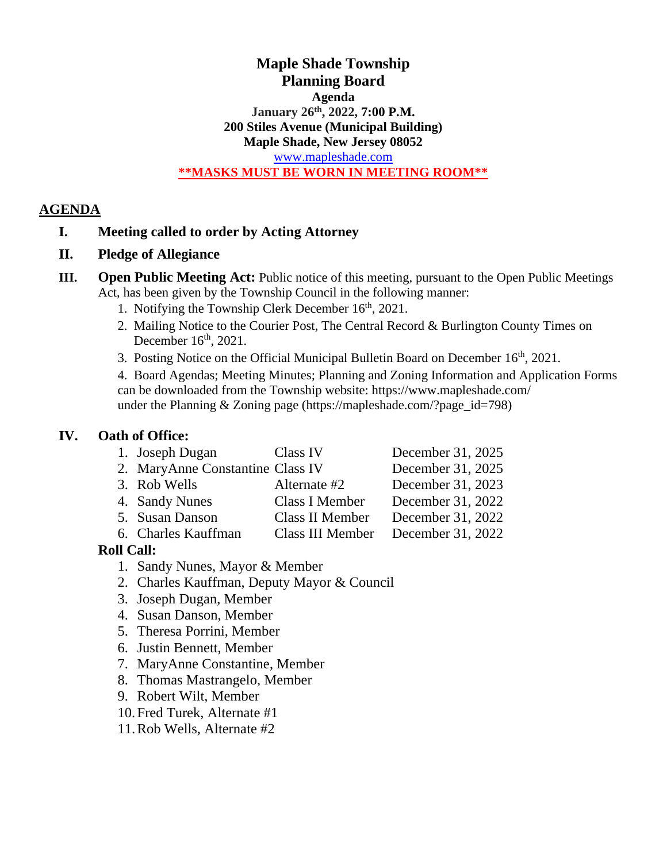#### **Maple Shade Township Planning Board Agenda January 26 th , 2022, 7:00 P.M. 200 Stiles Avenue (Municipal Building) Maple Shade, New Jersey 08052** [www.mapleshade.com](http://www.mapleshade.com/) **\*\*MASKS MUST BE WORN IN MEETING ROOM\*\***

#### **AGENDA**

### **I. Meeting called to order by Acting Attorney**

- **II. Pledge of Allegiance**
- **III. Open Public Meeting Act:** Public notice of this meeting, pursuant to the Open Public Meetings Act, has been given by the Township Council in the following manner:
	- 1. Notifying the Township Clerk December 16<sup>th</sup>, 2021.
	- 2. Mailing Notice to the Courier Post, The Central Record & Burlington County Times on December  $16<sup>th</sup>$ , 2021.
	- 3. Posting Notice on the Official Municipal Bulletin Board on December 16<sup>th</sup>, 2021.

4. Board Agendas; Meeting Minutes; Planning and Zoning Information and Application Forms can be downloaded from the Township website: https://www.mapleshade.com/ under the Planning & Zoning page (https://mapleshade.com/?page\_id=798)

### **IV. Oath of Office:**

|                                                   | 1. Joseph Dugan                  | Class IV         | December 31, 2025 |
|---------------------------------------------------|----------------------------------|------------------|-------------------|
|                                                   | 2. MaryAnne Constantine Class IV |                  | December 31, 2025 |
|                                                   | 3. Rob Wells                     | Alternate #2     | December 31, 2023 |
|                                                   | 4. Sandy Nunes                   | Class I Member   | December 31, 2022 |
|                                                   | 5. Susan Danson                  | Class II Member  | December 31, 2022 |
|                                                   | 6. Charles Kauffman              | Class III Member | December 31, 2022 |
| $\mathbf{u}$ $\alpha$ <sub>a</sub> $\mathbf{u}$ . |                                  |                  |                   |

### **Roll Call:**

- 1. Sandy Nunes, Mayor & Member
- 2. Charles Kauffman, Deputy Mayor & Council
- 3. Joseph Dugan, Member
- 4. Susan Danson, Member
- 5. Theresa Porrini, Member
- 6. Justin Bennett, Member
- 7. MaryAnne Constantine, Member
- 8. Thomas Mastrangelo, Member
- 9. Robert Wilt, Member
- 10.Fred Turek, Alternate #1
- 11.Rob Wells, Alternate #2